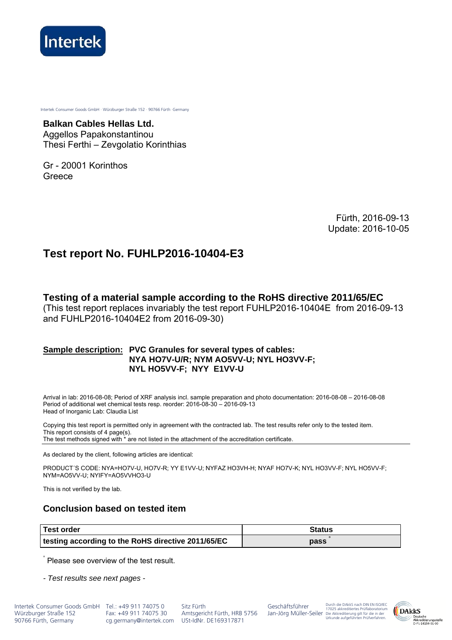

Intertek Consumer Goods GmbH · Würzburger Straße 152 · 90766 Fürth ·Germany

**Balkan Cables Hellas Ltd.**  Aggellos Papakonstantinou Thesi Ferthi – Zevgolatio Korinthias

Gr - 20001 Korinthos Greece

> Fürth, 2016-09-13 Update: 2016-10-05

# **Test report No. FUHLP2016-10404-E3**

**Testing of a material sample according to the RoHS directive 2011/65/EC** 

(This test report replaces invariably the test report FUHLP2016-10404E from 2016-09-13 and FUHLP2016-10404E2 from 2016-09-30)

### **Sample description: PVC Granules for several types of cables: NYA HO7V-U/R; NYM AO5VV-U; NYL HO3VV-F; NYL HO5VV-F; NYY E1VV-U**

Arrival in lab: 2016-08-08; Period of XRF analysis incl. sample preparation and photo documentation: 2016-08-08 – 2016-08-08 Period of additional wet chemical tests resp. reorder: 2016-08-30 – 2016-09-13 Head of Inorganic Lab: Claudia List

Copying this test report is permitted only in agreement with the contracted lab. The test results refer only to the tested item. This report consists of 4 page(s). The test methods signed with \* are not listed in the attachment of the accreditation certificate.

As declared by the client, following articles are identical:

PRODUCT΄S CODE: NYA=HO7V-U, HO7V-R; YY E1VV-U; NYFAZ HO3VH-H; NYAF HO7V-K; NYL HO3VV-F; NYL HO5VV-F; NYM=AO5VV-U; NYIFY=AO5VVHO3-U

This is not verified by the lab.

## **Conclusion based on tested item**

| Test order                                         | Status |
|----------------------------------------------------|--------|
| testing according to the RoHS directive 2011/65/EC | pass   |

° Please see overview of the test result.

*- Test results see next pages -*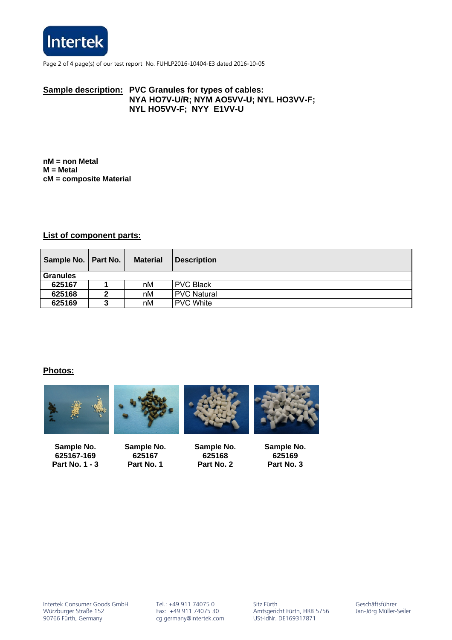

Page 2 of 4 page(s) of our test report No. FUHLP2016-10404-E3 dated 2016-10-05

## **Sample description: PVC Granules for types of cables: NYA HO7V-U/R; NYM AO5VV-U; NYL HO3VV-F; NYL HO5VV-F; NYY E1VV-U**

**nM = non Metal M = Metal cM = composite Material** 

### **List of component parts:**

| Sample No.   Part No. | <b>Material</b> | <b>Description</b> |
|-----------------------|-----------------|--------------------|
| <b>Granules</b>       |                 |                    |
| 625167                | nM              | <b>PVC Black</b>   |
| 625168                | nM              | <b>PVC Natural</b> |
| 625169                | nM              | <b>PVC White</b>   |

### **Photos:**



**Sample No. 625167-169 Part No. 1 - 3** 

**Sample No. 625167 Part No. 1** 

**Sample No. 625168 Part No. 2** 

**Sample No. 625169 Part No. 3**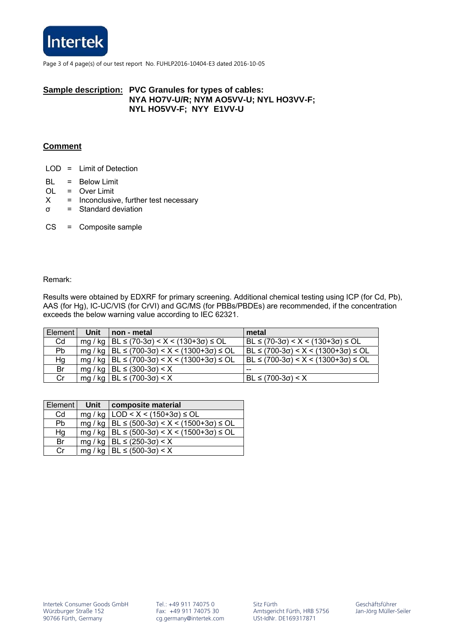

Page 3 of 4 page(s) of our test report No. FUHLP2016-10404-E3 dated 2016-10-05

### **Sample description: PVC Granules for types of cables: NYA HO7V-U/R; NYM AO5VV-U; NYL HO3VV-F; NYL HO5VV-F; NYY E1VV-U**

## **Comment**

- LOD = Limit of Detection
- BL = Below Limit
- OL = Over Limit
- $X =$  Inconclusive, further test necessary
- σ = Standard deviation
- CS = Composite sample

#### Remark:

Results were obtained by EDXRF for primary screening. Additional chemical testing using ICP (for Cd, Pb), AAS (for Hg), IC-UC/VIS (for CrVI) and GC/MS (for PBBs/PBDEs) are recommended, if the concentration exceeds the below warning value according to IEC 62321.

| Element | Unit | I non - metal                                                              | metal                                              |
|---------|------|----------------------------------------------------------------------------|----------------------------------------------------|
| Cd      |      | mg / kg   BL $\leq$ (70-3 $\sigma$ ) < X < (130+3 $\sigma$ ) $\leq$ OL     | $BL \le (70-3\sigma) < X < (130+3\sigma) \le OL$   |
| Pb      |      | $mg / kg$   BL $\leq$ (700-3 $\sigma$ ) < X < (1300+3 $\sigma$ ) $\leq$ OL | $BL \le (700-3\sigma) < X < (1300+3\sigma) \le OL$ |
| Hg      |      | mg / kg   BL $\leq$ (700-3 $\sigma$ ) < X < (1300+3 $\sigma$ ) $\leq$ OL   | $BL \le (700-3\sigma) < X < (1300+3\sigma) \le OL$ |
| Br      |      | mg / kg   BL $\leq$ (300-3 $\sigma$ ) < X                                  |                                                    |
| Cr      |      | mg / kg   BL $\leq$ (700-3 $\sigma$ ) < X                                  | $BL ≤ (700-3σ) < X$                                |

| <b>Element</b> | Unit | composite material                                                               |
|----------------|------|----------------------------------------------------------------------------------|
| Cd             |      | mg / kg   LOD < $X$ < (150+3 $\sigma$ ) ≤ OL                                     |
| Pb             |      | mg / kg   BL $\le$ (500-3 $\sigma$ ) < X < (1500+3 $\sigma$ ) $\le$ OL           |
| Hg             |      | mg / kg   BL $\leq$ (500-3 $\sigma$ ) $\lt$ X $\lt$ (1500+3 $\sigma$ ) $\leq$ OL |
| Br             |      | mg / kg   BL $\leq$ (250-3 $\sigma$ ) < X                                        |
| Cr             |      | mg / kg   BL $\leq$ (500-30) $\lt X$                                             |